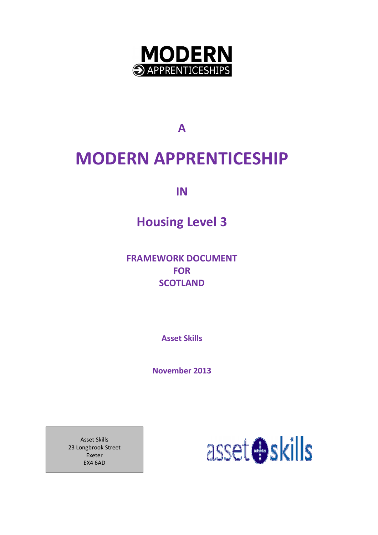

A

# MODERN APPRENTICESHIP

IN

# Housing Level 3

FRAMEWORK DOCUMENT FOR **SCOTLAND** 

Asset Skills

November 2013

Asset Skills 23 Longbrook Street Exeter EX4 6AD

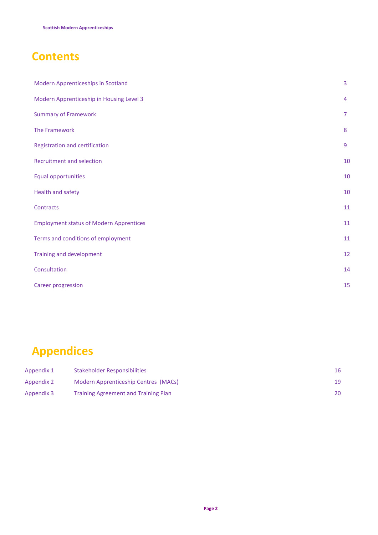# **Contents**

| Modern Apprenticeships in Scotland             | 3              |
|------------------------------------------------|----------------|
| Modern Apprenticeship in Housing Level 3       | 4              |
| <b>Summary of Framework</b>                    | $\overline{7}$ |
| The Framework                                  | 8              |
| Registration and certification                 | $\overline{9}$ |
| <b>Recruitment and selection</b>               | 10             |
| <b>Equal opportunities</b>                     | $10\,$         |
| Health and safety                              | 10             |
| Contracts                                      | 11             |
| <b>Employment status of Modern Apprentices</b> | 11             |
| Terms and conditions of employment             | 11             |
| Training and development                       | 12             |
| Consultation                                   | 14             |
| <b>Career progression</b>                      | 15             |

# Appendices

| Appendix 1 | Stakeholder Responsibilities                | 16  |
|------------|---------------------------------------------|-----|
| Appendix 2 | Modern Apprenticeship Centres (MACs)        | 19  |
| Appendix 3 | <b>Training Agreement and Training Plan</b> | 20. |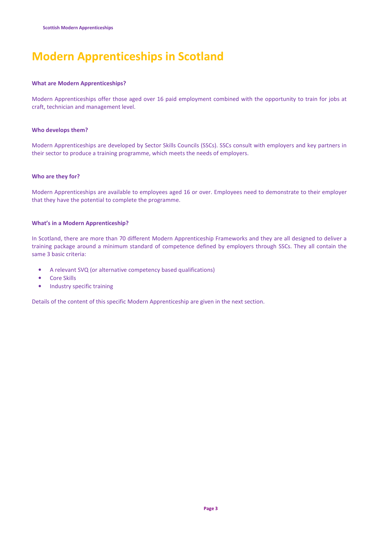# Modern Apprenticeships in Scotland

### What are Modern Apprenticeships?

Modern Apprenticeships offer those aged over 16 paid employment combined with the opportunity to train for jobs at craft, technician and management level.

### Who develops them?

Modern Apprenticeships are developed by Sector Skills Councils (SSCs). SSCs consult with employers and key partners in their sector to produce a training programme, which meets the needs of employers.

### Who are they for?

Modern Apprenticeships are available to employees aged 16 or over. Employees need to demonstrate to their employer that they have the potential to complete the programme.

### What's in a Modern Apprenticeship?

In Scotland, there are more than 70 different Modern Apprenticeship Frameworks and they are all designed to deliver a training package around a minimum standard of competence defined by employers through SSCs. They all contain the same 3 basic criteria:

- A relevant SVQ (or alternative competency based qualifications)
- Core Skills
- Industry specific training

Details of the content of this specific Modern Apprenticeship are given in the next section.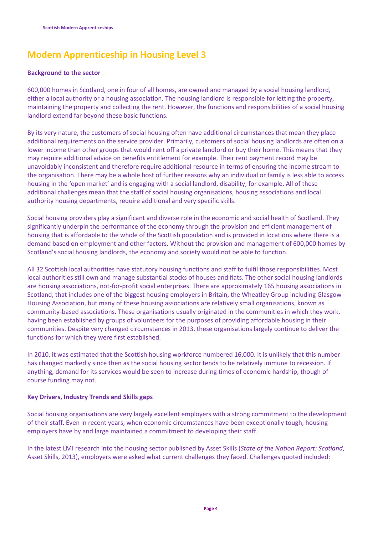## Modern Apprenticeship in Housing Level 3

### Background to the sector

600,000 homes in Scotland, one in four of all homes, are owned and managed by a social housing landlord, either a local authority or a housing association. The housing landlord is responsible for letting the property, maintaining the property and collecting the rent. However, the functions and responsibilities of a social housing landlord extend far beyond these basic functions.

By its very nature, the customers of social housing often have additional circumstances that mean they place additional requirements on the service provider. Primarily, customers of social housing landlords are often on a lower income than other groups that would rent off a private landlord or buy their home. This means that they may require additional advice on benefits entitlement for example. Their rent payment record may be unavoidably inconsistent and therefore require additional resource in terms of ensuring the income stream to the organisation. There may be a whole host of further reasons why an individual or family is less able to access housing in the 'open market' and is engaging with a social landlord, disability, for example. All of these additional challenges mean that the staff of social housing organisations, housing associations and local authority housing departments, require additional and very specific skills.

Social housing providers play a significant and diverse role in the economic and social health of Scotland. They significantly underpin the performance of the economy through the provision and efficient management of housing that is affordable to the whole of the Scottish population and is provided in locations where there is a demand based on employment and other factors. Without the provision and management of 600,000 homes by Scotland's social housing landlords, the economy and society would not be able to function.

All 32 Scottish local authorities have statutory housing functions and staff to fulfil those responsibilities. Most local authorities still own and manage substantial stocks of houses and flats. The other social housing landlords are housing associations, not-for-profit social enterprises. There are approximately 165 housing associations in Scotland, that includes one of the biggest housing employers in Britain, the Wheatley Group including Glasgow Housing Association, but many of these housing associations are relatively small organisations, known as community-based associations. These organisations usually originated in the communities in which they work, having been established by groups of volunteers for the purposes of providing affordable housing in their communities. Despite very changed circumstances in 2013, these organisations largely continue to deliver the functions for which they were first established.

In 2010, it was estimated that the Scottish housing workforce numbered 16,000. It is unlikely that this number has changed markedly since then as the social housing sector tends to be relatively immune to recession. If anything, demand for its services would be seen to increase during times of economic hardship, though of course funding may not.

### Key Drivers, Industry Trends and Skills gaps

Social housing organisations are very largely excellent employers with a strong commitment to the development of their staff. Even in recent years, when economic circumstances have been exceptionally tough, housing employers have by and large maintained a commitment to developing their staff.

In the latest LMI research into the housing sector published by Asset Skills (State of the Nation Report: Scotland, Asset Skills, 2013), employers were asked what current challenges they faced. Challenges quoted included: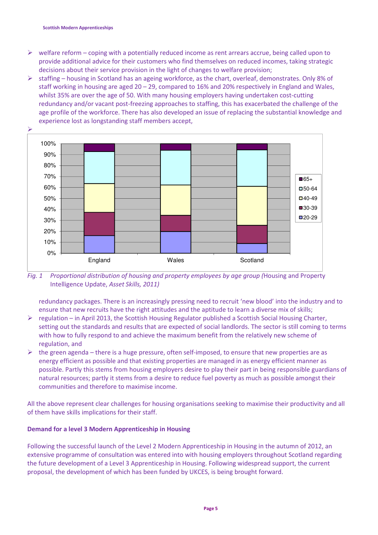- $\triangleright$  welfare reform coping with a potentially reduced income as rent arrears accrue, being called upon to provide additional advice for their customers who find themselves on reduced incomes, taking strategic decisions about their service provision in the light of changes to welfare provision;
- $\triangleright$  staffing housing in Scotland has an ageing workforce, as the chart, overleaf, demonstrates. Only 8% of staff working in housing are aged 20 – 29, compared to 16% and 20% respectively in England and Wales, whilst 35% are over the age of 50. With many housing employers having undertaken cost-cutting redundancy and/or vacant post-freezing approaches to staffing, this has exacerbated the challenge of the age profile of the workforce. There has also developed an issue of replacing the substantial knowledge and experience lost as longstanding staff members accept,



Fig. 1 Proportional distribution of housing and property employees by age group (Housing and Property Intelligence Update, Asset Skills, 2011)

redundancy packages. There is an increasingly pressing need to recruit 'new blood' into the industry and to ensure that new recruits have the right attitudes and the aptitude to learn a diverse mix of skills;

- $\triangleright$  regulation in April 2013, the Scottish Housing Regulator published a Scottish Social Housing Charter, setting out the standards and results that are expected of social landlords. The sector is still coming to terms with how to fully respond to and achieve the maximum benefit from the relatively new scheme of regulation, and
- $\triangleright$  the green agenda there is a huge pressure, often self-imposed, to ensure that new properties are as energy efficient as possible and that existing properties are managed in as energy efficient manner as possible. Partly this stems from housing employers desire to play their part in being responsible guardians of natural resources; partly it stems from a desire to reduce fuel poverty as much as possible amongst their communities and therefore to maximise income.

All the above represent clear challenges for housing organisations seeking to maximise their productivity and all of them have skills implications for their staff.

### Demand for a level 3 Modern Apprenticeship in Housing

Following the successful launch of the Level 2 Modern Apprenticeship in Housing in the autumn of 2012, an extensive programme of consultation was entered into with housing employers throughout Scotland regarding the future development of a Level 3 Apprenticeship in Housing. Following widespread support, the current proposal, the development of which has been funded by UKCES, is being brought forward.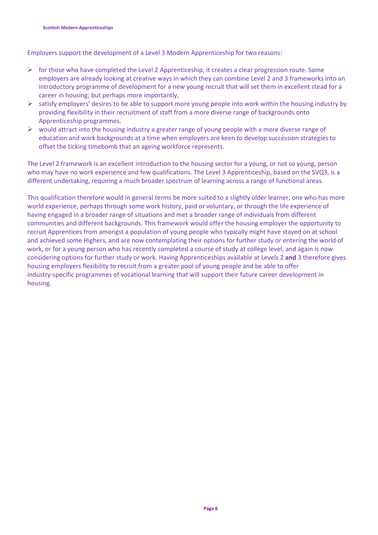Employers support the development of a Level 3 Modern Apprenticeship for two reasons:

- $\triangleright$  for those who have completed the Level 2 Apprenticeship, it creates a clear progression route. Some employers are already looking at creative ways in which they can combine Level 2 and 3 frameworks into an introductory programme of development for a new young recruit that will set them in excellent stead for a career in housing; but perhaps more importantly,
- $\triangleright$  satisfy employers' desires to be able to support more young people into work within the housing industry by providing flexibility in their recruitment of staff from a more diverse range of backgrounds onto Apprenticeship programmes.
- $\triangleright$  would attract into the housing industry a greater range of young people with a more diverse range of education and work backgrounds at a time when employers are keen to develop succession strategies to offset the ticking timebomb that an ageing workforce represents.

The Level 2 framework is an excellent introduction to the housing sector for a young, or not so young, person who may have no work experience and few qualifications. The Level 3 Apprenticeship, based on the SVQ3, is a different undertaking, requiring a much broader spectrum of learning across a range of functional areas.

This qualification therefore would in general terms be more suited to a slightly older learner, one who has more world experience, perhaps through some work history, paid or voluntary, or through the life experience of having engaged in a broader range of situations and met a broader range of individuals from different communities and different backgrounds. This framework would offer the housing employer the opportunity to recruit Apprentices from amongst a population of young people who typically might have stayed on at school and achieved some Highers, and are now contemplating their options for further study or entering the world of work, or for a young person who has recently completed a course of study at college level, and again is now considering options for further study or work. Having Apprenticeships available at Levels 2 and 3 therefore gives housing employers flexibility to recruit from a greater pool of young people and be able to offer industry-specific programmes of vocational learning that will support their future career development in housing.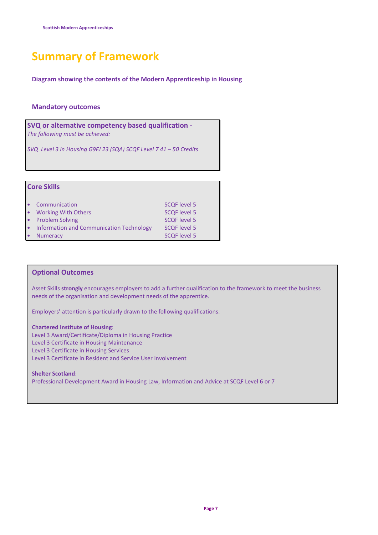# Summary of Framework

Diagram showing the contents of the Modern Apprenticeship in Housing

### Mandatory outcomes

SVQ or alternative competency based qualification - The following must be achieved:

SVQ Level 3 in Housing G9FJ 23 (SQA) SCQF Level 7 41 – 50 Credits

| <b>Core Skills</b>                       |                     |
|------------------------------------------|---------------------|
| Communication                            | <b>SCQF level 5</b> |
| <b>Working With Others</b>               | <b>SCQF level 5</b> |
| <b>Problem Solving</b>                   | <b>SCQF level 5</b> |
| Information and Communication Technology | <b>SCQF level 5</b> |
| <b>Numeracy</b>                          | <b>SCQF level 5</b> |

### Optional Outcomes

Asset Skills strongly encourages employers to add a further qualification to the framework to meet the business needs of the organisation and development needs of the apprentice.

Employers' attention is particularly drawn to the following qualifications:

Chartered Institute of Housing: Level 3 Award/Certificate/Diploma in Housing Practice Level 3 Certificate in Housing Maintenance Level 3 Certificate in Housing Services Level 3 Certificate in Resident and Service User Involvement

#### Shelter Scotland: Professional Development Award in Housing Law, Information and Advice at SCQF Level 6 or 7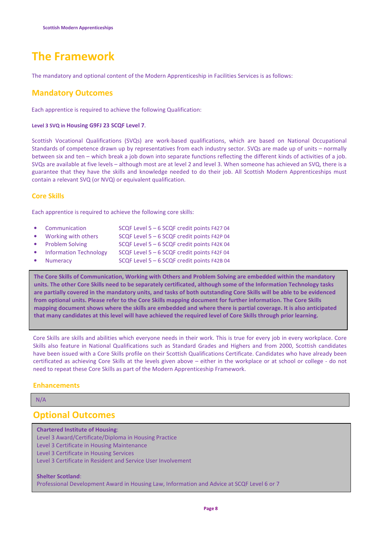# The Framework

The mandatory and optional content of the Modern Apprenticeship in Facilities Services is as follows:

## Mandatory Outcomes

Each apprentice is required to achieve the following Qualification:

### Level 3 SVQ in Housing G9FJ 23 SCQF Level 7.

Scottish Vocational Qualifications (SVQs) are work-based qualifications, which are based on National Occupational Standards of competence drawn up by representatives from each industry sector. SVQs are made up of units – normally between six and ten – which break a job down into separate functions reflecting the different kinds of activities of a job. SVQs are available at five levels – although most are at level 2 and level 3. When someone has achieved an SVQ, there is a guarantee that they have the skills and knowledge needed to do their job. All Scottish Modern Apprenticeships must contain a relevant SVQ (or NVQ) or equivalent qualification.

### Core Skills

Each apprentice is required to achieve the following core skills:

- Communication SCQF Level 5 6 SCQF credit points F427 04
- Working with others SCQF Level 5 6 SCQF credit points F42P 04
- Problem Solving SCQF Level 5 6 SCQF credit points F42K 04
- Information Technology SCQF Level 5 6 SCQF credit points F42F 04
- Numeracy SCQF Level 5 6 SCQF credit points F42B 04

The Core Skills of Communication, Working with Others and Problem Solving are embedded within the mandatory units. The other Core Skills need to be separately certificated, although some of the Information Technology tasks are partially covered in the mandatory units, and tasks of both outstanding Core Skills will be able to be evidenced from optional units. Please refer to the Core Skills mapping document for further information. The Core Skills mapping document shows where the skills are embedded and where there is partial coverage. It is also anticipated that many candidates at this level will have achieved the required level of Core Skills through prior learning.

Core Skills are skills and abilities which everyone needs in their work. This is true for every job in every workplace. Core Skills also feature in National Qualifications such as Standard Grades and Highers and from 2000, Scottish candidates have been issued with a Core Skills profile on their Scottish Qualifications Certificate. Candidates who have already been certificated as achieving Core Skills at the levels given above – either in the workplace or at school or college - do not need to repeat these Core Skills as part of the Modern Apprenticeship Framework.

### **Enhancements**

N/A

I

## Optional Outcomes

### Chartered Institute of Housing:

Level 3 Award/Certificate/Diploma in Housing Practice Level 3 Certificate in Housing Maintenance Level 3 Certificate in Housing Services Level 3 Certificate in Resident and Service User Involvement

### Shelter Scotland:

Professional Development Award in Housing Law, Information and Advice at SCQF Level 6 or 7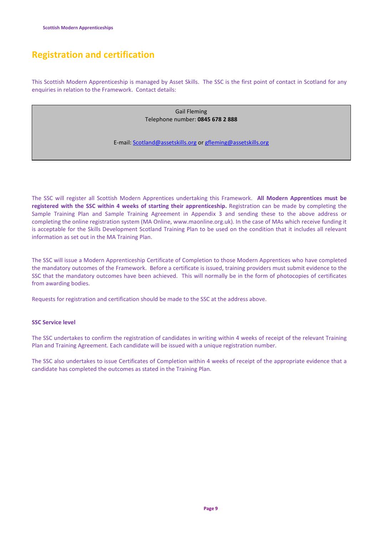## Registration and certification

This Scottish Modern Apprenticeship is managed by Asset Skills. The SSC is the first point of contact in Scotland for any enquiries in relation to the Framework. Contact details:

> Gail Fleming Telephone number: 0845 678 2 888

E-mail: Scotland@assetskills.org or gfleming@assetskills.org

The SSC will register all Scottish Modern Apprentices undertaking this Framework. All Modern Apprentices must be registered with the SSC within 4 weeks of starting their apprenticeship. Registration can be made by completing the Sample Training Plan and Sample Training Agreement in Appendix 3 and sending these to the above address or completing the online registration system (MA Online, www.maonline.org.uk). In the case of MAs which receive funding it is acceptable for the Skills Development Scotland Training Plan to be used on the condition that it includes all relevant information as set out in the MA Training Plan.

The SSC will issue a Modern Apprenticeship Certificate of Completion to those Modern Apprentices who have completed the mandatory outcomes of the Framework. Before a certificate is issued, training providers must submit evidence to the SSC that the mandatory outcomes have been achieved. This will normally be in the form of photocopies of certificates from awarding bodies.

Requests for registration and certification should be made to the SSC at the address above.

### SSC Service level

The SSC undertakes to confirm the registration of candidates in writing within 4 weeks of receipt of the relevant Training Plan and Training Agreement. Each candidate will be issued with a unique registration number.

The SSC also undertakes to issue Certificates of Completion within 4 weeks of receipt of the appropriate evidence that a candidate has completed the outcomes as stated in the Training Plan.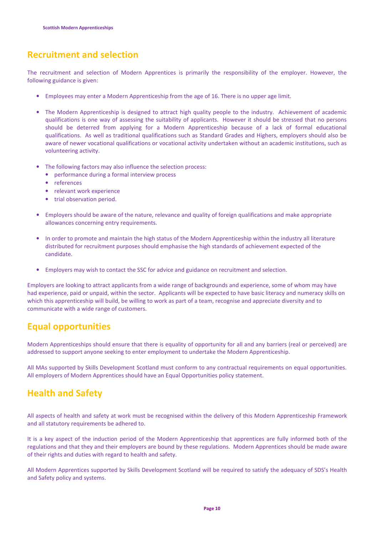## Recruitment and selection

The recruitment and selection of Modern Apprentices is primarily the responsibility of the employer. However, the following guidance is given:

- Employees may enter a Modern Apprenticeship from the age of 16. There is no upper age limit.
- The Modern Apprenticeship is designed to attract high quality people to the industry. Achievement of academic qualifications is one way of assessing the suitability of applicants. However it should be stressed that no persons should be deterred from applying for a Modern Apprenticeship because of a lack of formal educational qualifications. As well as traditional qualifications such as Standard Grades and Highers, employers should also be aware of newer vocational qualifications or vocational activity undertaken without an academic institutions, such as volunteering activity.
- The following factors may also influence the selection process:
	- performance during a formal interview process
	- **references**
	- relevant work experience
	- trial observation period.
- Employers should be aware of the nature, relevance and quality of foreign qualifications and make appropriate allowances concerning entry requirements.
- In order to promote and maintain the high status of the Modern Apprenticeship within the industry all literature distributed for recruitment purposes should emphasise the high standards of achievement expected of the candidate.
- Employers may wish to contact the SSC for advice and guidance on recruitment and selection.

Employers are looking to attract applicants from a wide range of backgrounds and experience, some of whom may have had experience, paid or unpaid, within the sector. Applicants will be expected to have basic literacy and numeracy skills on which this apprenticeship will build, be willing to work as part of a team, recognise and appreciate diversity and to communicate with a wide range of customers.

## Equal opportunities

Modern Apprenticeships should ensure that there is equality of opportunity for all and any barriers (real or perceived) are addressed to support anyone seeking to enter employment to undertake the Modern Apprenticeship.

All MAs supported by Skills Development Scotland must conform to any contractual requirements on equal opportunities. All employers of Modern Apprentices should have an Equal Opportunities policy statement.

## Health and Safety

All aspects of health and safety at work must be recognised within the delivery of this Modern Apprenticeship Framework and all statutory requirements be adhered to.

It is a key aspect of the induction period of the Modern Apprenticeship that apprentices are fully informed both of the regulations and that they and their employers are bound by these regulations. Modern Apprentices should be made aware of their rights and duties with regard to health and safety.

All Modern Apprentices supported by Skills Development Scotland will be required to satisfy the adequacy of SDS's Health and Safety policy and systems.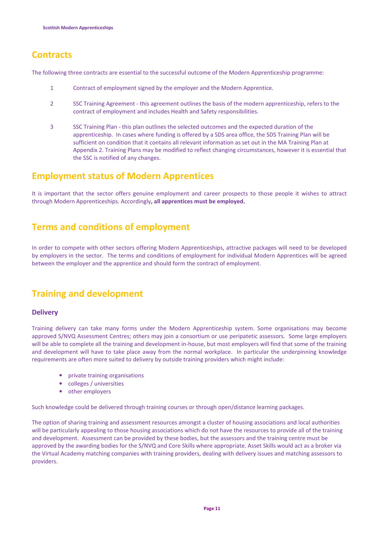## **Contracts**

The following three contracts are essential to the successful outcome of the Modern Apprenticeship programme:

- 1 Contract of employment signed by the employer and the Modern Apprentice.
- 2 SSC Training Agreement this agreement outlines the basis of the modern apprenticeship, refers to the contract of employment and includes Health and Safety responsibilities.
- 3 SSC Training Plan this plan outlines the selected outcomes and the expected duration of the apprenticeship. In cases where funding is offered by a SDS area office, the SDS Training Plan will be sufficient on condition that it contains all relevant information as set out in the MA Training Plan at Appendix 2. Training Plans may be modified to reflect changing circumstances, however it is essential that the SSC is notified of any changes.

## Employment status of Modern Apprentices

It is important that the sector offers genuine employment and career prospects to those people it wishes to attract through Modern Apprenticeships. Accordingly, all apprentices must be employed.

## Terms and conditions of employment

In order to compete with other sectors offering Modern Apprenticeships, attractive packages will need to be developed by employers in the sector. The terms and conditions of employment for individual Modern Apprentices will be agreed between the employer and the apprentice and should form the contract of employment.

## Training and development

### **Delivery**

Training delivery can take many forms under the Modern Apprenticeship system. Some organisations may become approved S/NVQ Assessment Centres; others may join a consortium or use peripatetic assessors. Some large employers will be able to complete all the training and development in-house, but most employers will find that some of the training and development will have to take place away from the normal workplace. In particular the underpinning knowledge requirements are often more suited to delivery by outside training providers which might include:

- private training organisations
- colleges / universities
- other employers

Such knowledge could be delivered through training courses or through open/distance learning packages.

The option of sharing training and assessment resources amongst a cluster of housing associations and local authorities will be particularly appealing to those housing associations which do not have the resources to provide all of the training and development. Assessment can be provided by these bodies, but the assessors and the training centre must be approved by the awarding bodies for the S/NVQ and Core Skills where appropriate. Asset Skills would act as a broker via the Virtual Academy matching companies with training providers, dealing with delivery issues and matching assessors to providers.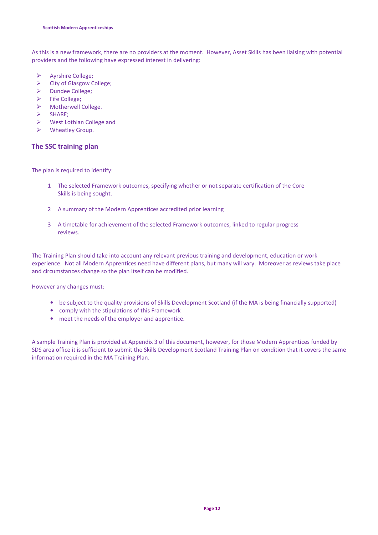As this is a new framework, there are no providers at the moment. However, Asset Skills has been liaising with potential providers and the following have expressed interest in delivering:

- Ayrshire College;
- City of Glasgow College;
- > Dundee College;
- $\triangleright$  Fife College;
- > Motherwell College.
- $\triangleright$  SHARE;
- West Lothian College and
- Wheatley Group.

### The SSC training plan

The plan is required to identify:

- 1 The selected Framework outcomes, specifying whether or not separate certification of the Core Skills is being sought.
- 2 A summary of the Modern Apprentices accredited prior learning
- 3 A timetable for achievement of the selected Framework outcomes, linked to regular progress reviews.

The Training Plan should take into account any relevant previous training and development, education or work experience. Not all Modern Apprentices need have different plans, but many will vary. Moreover as reviews take place and circumstances change so the plan itself can be modified.

However any changes must:

- be subject to the quality provisions of Skills Development Scotland (if the MA is being financially supported)
- comply with the stipulations of this Framework
- meet the needs of the employer and apprentice.

A sample Training Plan is provided at Appendix 3 of this document, however, for those Modern Apprentices funded by SDS area office it is sufficient to submit the Skills Development Scotland Training Plan on condition that it covers the same information required in the MA Training Plan.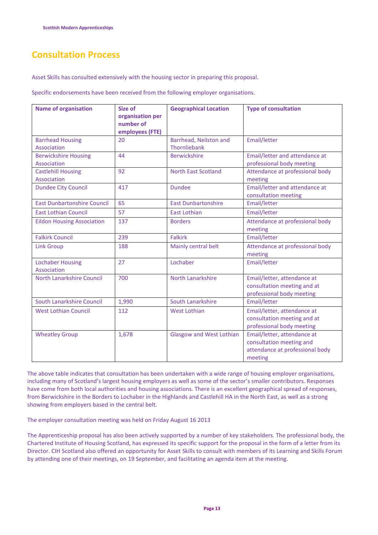## Consultation Process

Asset Skills has consulted extensively with the housing sector in preparing this proposal.

Specific endorsements have been received from the following employer organisations.

| <b>Name of organisation</b>                | Size of<br>organisation per<br>number of<br>employees (FTE) | <b>Geographical Location</b>           | <b>Type of consultation</b>                                                                           |
|--------------------------------------------|-------------------------------------------------------------|----------------------------------------|-------------------------------------------------------------------------------------------------------|
| <b>Barrhead Housing</b><br>Association     | 20                                                          | Barrhead, Neilston and<br>Thornliebank | Email/letter                                                                                          |
| <b>Berwickshire Housing</b><br>Association | 44                                                          | <b>Berwickshire</b>                    | Email/letter and attendance at<br>professional body meeting                                           |
| <b>Castlehill Housing</b><br>Association   | 92                                                          | <b>North East Scotland</b>             | Attendance at professional body<br>meeting                                                            |
| <b>Dundee City Council</b>                 | 417                                                         | <b>Dundee</b>                          | Email/letter and attendance at<br>consultation meeting                                                |
| <b>East Dunbartonshire Council</b>         | 65                                                          | <b>East Dunbartonshire</b>             | Email/letter                                                                                          |
| <b>East Lothian Council</b>                | 57                                                          | <b>East Lothian</b>                    | Email/letter                                                                                          |
| <b>Eildon Housing Association</b>          | 137                                                         | <b>Borders</b>                         | Attendance at professional body<br>meeting                                                            |
| <b>Falkirk Council</b>                     | 239                                                         | <b>Falkirk</b>                         | Email/letter                                                                                          |
| <b>Link Group</b>                          | 188                                                         | Mainly central belt                    | Attendance at professional body<br>meeting                                                            |
| <b>Lochaber Housing</b><br>Association     | 27                                                          | Lochaber                               | Email/letter                                                                                          |
| North Lanarkshire Council                  | 700                                                         | North Lanarkshire                      | Email/letter, attendance at<br>consultation meeting and at<br>professional body meeting               |
| South Lanarkshire Council                  | 1,990                                                       | South Lanarkshire                      | Email/letter                                                                                          |
| <b>West Lothian Council</b>                | 112                                                         | <b>West Lothian</b>                    | Email/letter, attendance at<br>consultation meeting and at<br>professional body meeting               |
| <b>Wheatley Group</b>                      | 1,678                                                       | <b>Glasgow and West Lothian</b>        | Email/letter, attendance at<br>consultation meeting and<br>attendance at professional body<br>meeting |

The above table indicates that consultation has been undertaken with a wide range of housing employer organisations, including many of Scotland's largest housing employers as well as some of the sector's smaller contributors. Responses have come from both local authorities and housing associations. There is an excellent geographical spread of responses, from Berwickshire in the Borders to Lochaber in the Highlands and Castlehill HA in the North East, as well as a strong showing from employers based in the central belt.

The employer consultation meeting was held on Friday August 16 2013

The Apprenticeship proposal has also been actively supported by a number of key stakeholders. The professional body, the Chartered Institute of Housing Scotland, has expressed its specific support for the proposal in the form of a letter from its Director. CIH Scotland also offered an opportunity for Asset Skills to consult with members of its Learning and Skills Forum by attending one of their meetings, on 19 September, and facilitating an agenda item at the meeting.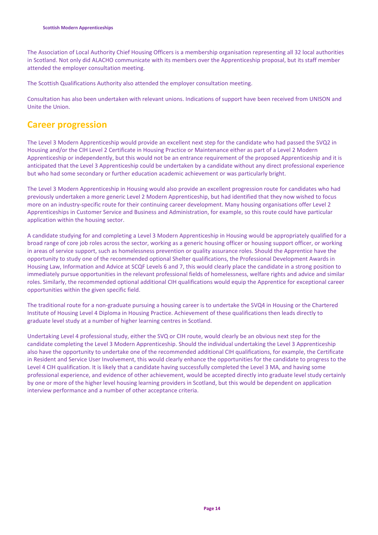The Association of Local Authority Chief Housing Officers is a membership organisation representing all 32 local authorities in Scotland. Not only did ALACHO communicate with its members over the Apprenticeship proposal, but its staff member attended the employer consultation meeting.

The Scottish Qualifications Authority also attended the employer consultation meeting.

Consultation has also been undertaken with relevant unions. Indications of support have been received from UNISON and Unite the Union.

## Career progression

The Level 3 Modern Apprenticeship would provide an excellent next step for the candidate who had passed the SVQ2 in Housing and/or the CIH Level 2 Certificate in Housing Practice or Maintenance either as part of a Level 2 Modern Apprenticeship or independently, but this would not be an entrance requirement of the proposed Apprenticeship and it is anticipated that the Level 3 Apprenticeship could be undertaken by a candidate without any direct professional experience but who had some secondary or further education academic achievement or was particularly bright.

The Level 3 Modern Apprenticeship in Housing would also provide an excellent progression route for candidates who had previously undertaken a more generic Level 2 Modern Apprenticeship, but had identified that they now wished to focus more on an industry-specific route for their continuing career development. Many housing organisations offer Level 2 Apprenticeships in Customer Service and Business and Administration, for example, so this route could have particular application within the housing sector.

A candidate studying for and completing a Level 3 Modern Apprenticeship in Housing would be appropriately qualified for a broad range of core job roles across the sector, working as a generic housing officer or housing support officer, or working in areas of service support, such as homelessness prevention or quality assurance roles. Should the Apprentice have the opportunity to study one of the recommended optional Shelter qualifications, the Professional Development Awards in Housing Law, Information and Advice at SCQF Levels 6 and 7, this would clearly place the candidate in a strong position to immediately pursue opportunities in the relevant professional fields of homelessness, welfare rights and advice and similar roles. Similarly, the recommended optional additional CIH qualifications would equip the Apprentice for exceptional career opportunities within the given specific field.

The traditional route for a non-graduate pursuing a housing career is to undertake the SVQ4 in Housing or the Chartered Institute of Housing Level 4 Diploma in Housing Practice. Achievement of these qualifications then leads directly to graduate level study at a number of higher learning centres in Scotland.

Undertaking Level 4 professional study, either the SVQ or CIH route, would clearly be an obvious next step for the candidate completing the Level 3 Modern Apprenticeship. Should the individual undertaking the Level 3 Apprenticeship also have the opportunity to undertake one of the recommended additional CIH qualifications, for example, the Certificate in Resident and Service User Involvement, this would clearly enhance the opportunities for the candidate to progress to the Level 4 CIH qualification. It is likely that a candidate having successfully completed the Level 3 MA, and having some professional experience, and evidence of other achievement, would be accepted directly into graduate level study certainly by one or more of the higher level housing learning providers in Scotland, but this would be dependent on application interview performance and a number of other acceptance criteria.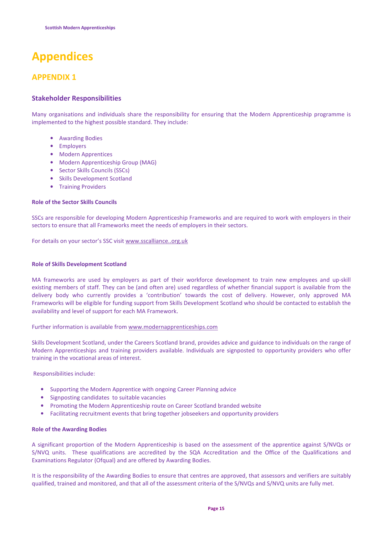# Appendices

## APPENDIX 1

### Stakeholder Responsibilities

Many organisations and individuals share the responsibility for ensuring that the Modern Apprenticeship programme is implemented to the highest possible standard. They include:

- Awarding Bodies
- Employers
- Modern Apprentices
- Modern Apprenticeship Group (MAG)
- Sector Skills Councils (SSCs)
- Skills Development Scotland
- Training Providers

### Role of the Sector Skills Councils

SSCs are responsible for developing Modern Apprenticeship Frameworks and are required to work with employers in their sectors to ensure that all Frameworks meet the needs of employers in their sectors.

For details on your sector's SSC visit www.sscalliance..org.uk

### Role of Skills Development Scotland

MA frameworks are used by employers as part of their workforce development to train new employees and up-skill existing members of staff. They can be (and often are) used regardless of whether financial support is available from the delivery body who currently provides a 'contribution' towards the cost of delivery. However, only approved MA Frameworks will be eligible for funding support from Skills Development Scotland who should be contacted to establish the availability and level of support for each MA Framework.

### Further information is available from www.modernapprenticeships.com

Skills Development Scotland, under the Careers Scotland brand, provides advice and guidance to individuals on the range of Modern Apprenticeships and training providers available. Individuals are signposted to opportunity providers who offer training in the vocational areas of interest.

Responsibilities include:

- Supporting the Modern Apprentice with ongoing Career Planning advice
- Signposting candidates to suitable vacancies
- Promoting the Modern Apprenticeship route on Career Scotland branded website
- Facilitating recruitment events that bring together jobseekers and opportunity providers

### Role of the Awarding Bodies

A significant proportion of the Modern Apprenticeship is based on the assessment of the apprentice against S/NVQs or S/NVQ units. These qualifications are accredited by the SQA Accreditation and the Office of the Qualifications and Examinations Regulator (Ofqual) and are offered by Awarding Bodies.

It is the responsibility of the Awarding Bodies to ensure that centres are approved, that assessors and verifiers are suitably qualified, trained and monitored, and that all of the assessment criteria of the S/NVQs and S/NVQ units are fully met.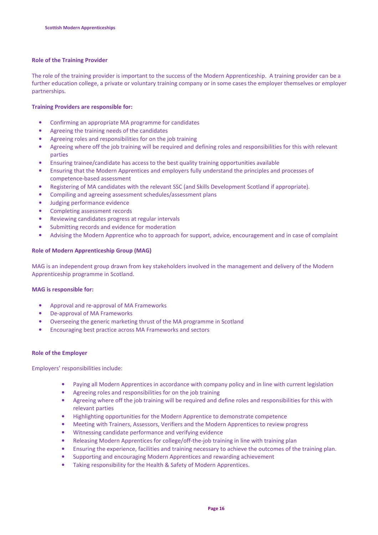### Role of the Training Provider

The role of the training provider is important to the success of the Modern Apprenticeship. A training provider can be a further education college, a private or voluntary training company or in some cases the employer themselves or employer partnerships.

### Training Providers are responsible for:

- Confirming an appropriate MA programme for candidates
- Agreeing the training needs of the candidates
- Agreeing roles and responsibilities for on the job training
- Agreeing where off the job training will be required and defining roles and responsibilities for this with relevant parties
- Ensuring trainee/candidate has access to the best quality training opportunities available
- Ensuring that the Modern Apprentices and employers fully understand the principles and processes of competence-based assessment
- Registering of MA candidates with the relevant SSC (and Skills Development Scotland if appropriate).
- Compiling and agreeing assessment schedules/assessment plans
- Judging performance evidence
- Completing assessment records
- Reviewing candidates progress at regular intervals
- Submitting records and evidence for moderation
- Advising the Modern Apprentice who to approach for support, advice, encouragement and in case of complaint

### Role of Modern Apprenticeship Group (MAG)

MAG is an independent group drawn from key stakeholders involved in the management and delivery of the Modern Apprenticeship programme in Scotland.

### MAG is responsible for:

- Approval and re-approval of MA Frameworks
- De-approval of MA Frameworks
- Overseeing the generic marketing thrust of the MA programme in Scotland
- Encouraging best practice across MA Frameworks and sectors

### Role of the Employer

Employers' responsibilities include:

- Paying all Modern Apprentices in accordance with company policy and in line with current legislation
- Agreeing roles and responsibilities for on the job training
- Agreeing where off the job training will be required and define roles and responsibilities for this with relevant parties
- Highlighting opportunities for the Modern Apprentice to demonstrate competence
- Meeting with Trainers, Assessors, Verifiers and the Modern Apprentices to review progress
- Witnessing candidate performance and verifying evidence
- Releasing Modern Apprentices for college/off-the-job training in line with training plan
- Ensuring the experience, facilities and training necessary to achieve the outcomes of the training plan.
- Supporting and encouraging Modern Apprentices and rewarding achievement
- Taking responsibility for the Health & Safety of Modern Apprentices.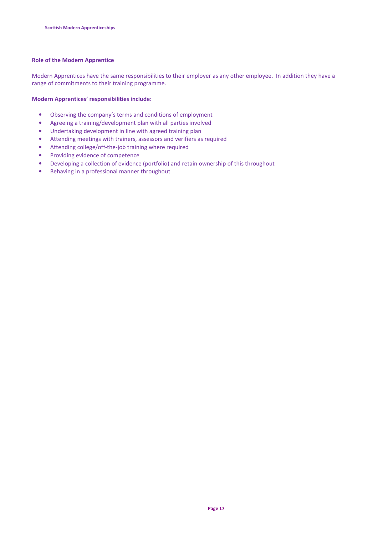### Role of the Modern Apprentice

Modern Apprentices have the same responsibilities to their employer as any other employee. In addition they have a range of commitments to their training programme.

### Modern Apprentices' responsibilities include:

- Observing the company's terms and conditions of employment
- Agreeing a training/development plan with all parties involved
- Undertaking development in line with agreed training plan
- Attending meetings with trainers, assessors and verifiers as required
- Attending college/off-the-job training where required
- Providing evidence of competence
- Developing a collection of evidence (portfolio) and retain ownership of this throughout
- Behaving in a professional manner throughout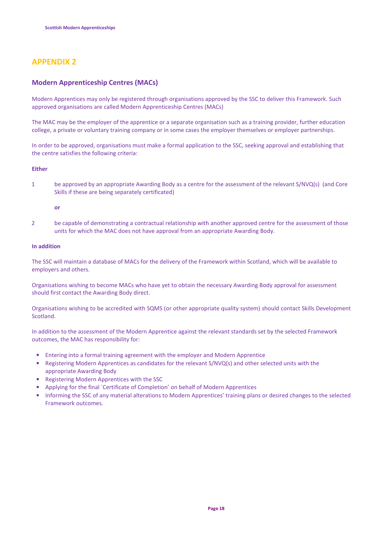## APPENDIX 2

### Modern Apprenticeship Centres (MACs)

Modern Apprentices may only be registered through organisations approved by the SSC to deliver this Framework. Such approved organisations are called Modern Apprenticeship Centres (MACs)

The MAC may be the employer of the apprentice or a separate organisation such as a training provider, further education college, a private or voluntary training company or in some cases the employer themselves or employer partnerships.

In order to be approved, organisations must make a formal application to the SSC, seeking approval and establishing that the centre satisfies the following criteria:

### Either

1 be approved by an appropriate Awarding Body as a centre for the assessment of the relevant S/NVQ(s) (and Core Skills if these are being separately certificated)

#### or

2 be capable of demonstrating a contractual relationship with another approved centre for the assessment of those units for which the MAC does not have approval from an appropriate Awarding Body.

### In addition

The SSC will maintain a database of MACs for the delivery of the Framework within Scotland, which will be available to employers and others.

Organisations wishing to become MACs who have yet to obtain the necessary Awarding Body approval for assessment should first contact the Awarding Body direct.

Organisations wishing to be accredited with SQMS (or other appropriate quality system) should contact Skills Development Scotland.

In addition to the assessment of the Modern Apprentice against the relevant standards set by the selected Framework outcomes, the MAC has responsibility for:

- Entering into a formal training agreement with the employer and Modern Apprentice
- Registering Modern Apprentices as candidates for the relevant S/NVQ(s) and other selected units with the appropriate Awarding Body
- Registering Modern Apprentices with the SSC
- Applying for the final `Certificate of Completion' on behalf of Modern Apprentices
- Informing the SSC of any material alterations to Modern Apprentices' training plans or desired changes to the selected Framework outcomes.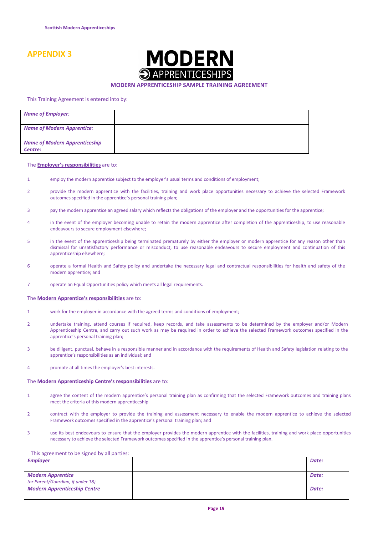## APPENDIX 3



#### MODERN APPRENTICESHIP SAMPLE TRAINING AGREEMENT

#### This Training Agreement is entered into by:

| <b>Name of Employer:</b>             |  |
|--------------------------------------|--|
| <b>Name of Modern Apprentice:</b>    |  |
| <b>Name of Modern Apprenticeship</b> |  |
| Centre:                              |  |

#### The **Employer's responsibilities** are to:

- 1 employ the modern apprentice subject to the employer's usual terms and conditions of employment;
- 2 provide the modern apprentice with the facilities, training and work place opportunities necessary to achieve the selected Framework outcomes specified in the apprentice's personal training plan;
- 3 pay the modern apprentice an agreed salary which reflects the obligations of the employer and the opportunities for the apprentice;
- 4 in the event of the employer becoming unable to retain the modern apprentice after completion of the apprenticeship, to use reasonable endeavours to secure employment elsewhere;
- 5 in the event of the apprenticeship being terminated prematurely by either the employer or modern apprentice for any reason other than dismissal for unsatisfactory performance or misconduct, to use reasonable endeavours to secure employment and continuation of this apprenticeship elsewhere;
- 6 operate a formal Health and Safety policy and undertake the necessary legal and contractual responsibilities for health and safety of the modern apprentice; and
- 7 operate an Equal Opportunities policy which meets all legal requirements.

#### The Modern Apprentice's responsibilities are to:

- 1 work for the employer in accordance with the agreed terms and conditions of employment;
- 2 undertake training, attend courses if required, keep records, and take assessments to be determined by the employer and/or Modern Apprenticeship Centre, and carry out such work as may be required in order to achieve the selected Framework outcomes specified in the apprentice's personal training plan;
- 3 be diligent, punctual, behave in a responsible manner and in accordance with the requirements of Health and Safety legislation relating to the apprentice's responsibilities as an individual; and
- 4 promote at all times the employer's best interests.

#### The Modern Apprenticeship Centre's responsibilities are to:

- 1 agree the content of the modern apprentice's personal training plan as confirming that the selected Framework outcomes and training plans meet the criteria of this modern apprenticeship
- 2 contract with the employer to provide the training and assessment necessary to enable the modern apprentice to achieve the selected Framework outcomes specified in the apprentice's personal training plan; and
- 3 use its best endeavours to ensure that the employer provides the modern apprentice with the facilities, training and work place opportunities necessary to achieve the selected Framework outcomes specified in the apprentice's personal training plan.

#### This agreement to be signed by all parties:

| Date: |
|-------|
|       |
| Date: |
|       |
| Date: |
|       |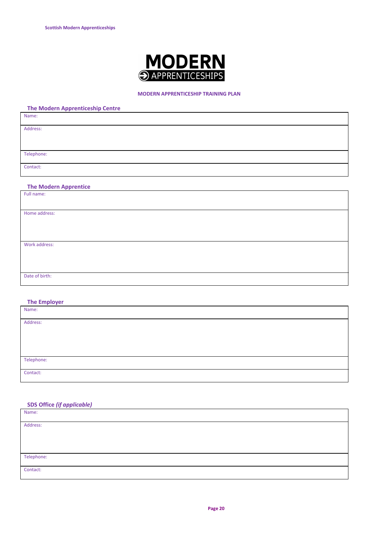

### MODERN APPRENTICESHIP TRAINING PLAN

|  | <b>The Modern Apprenticeship Centre</b> |  |
|--|-----------------------------------------|--|
|--|-----------------------------------------|--|

| Name:      |  |  |
|------------|--|--|
| Address:   |  |  |
|            |  |  |
|            |  |  |
| Telephone: |  |  |
| Contact:   |  |  |
|            |  |  |

### The Modern Apprentice

| Full name:     |  |
|----------------|--|
|                |  |
|                |  |
| Home address:  |  |
|                |  |
|                |  |
|                |  |
|                |  |
| Work address:  |  |
|                |  |
|                |  |
|                |  |
|                |  |
| Date of birth: |  |
|                |  |

### The Employer

| Name:      |  |
|------------|--|
| Address:   |  |
|            |  |
|            |  |
| Telephone: |  |
| Contact:   |  |

### SDS Office (if applicable)

| Name:      |  |
|------------|--|
| Address:   |  |
|            |  |
|            |  |
| Telephone: |  |
| Contact:   |  |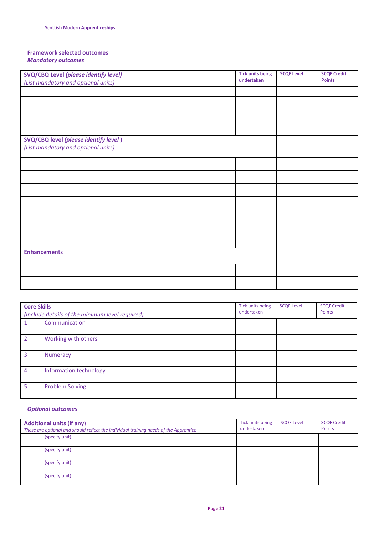### Framework selected outcomes Mandatory outcomes

| <b>SVQ/CBQ Level (please identify level)</b>                                        | <b>Tick units being</b> | <b>SCQF Level</b> | <b>SCQF Credit</b> |
|-------------------------------------------------------------------------------------|-------------------------|-------------------|--------------------|
| (List mandatory and optional units)                                                 | undertaken              |                   | <b>Points</b>      |
|                                                                                     |                         |                   |                    |
|                                                                                     |                         |                   |                    |
|                                                                                     |                         |                   |                    |
|                                                                                     |                         |                   |                    |
|                                                                                     |                         |                   |                    |
| <b>SVQ/CBQ level (please identify level)</b><br>(List mandatory and optional units) |                         |                   |                    |
|                                                                                     |                         |                   |                    |
|                                                                                     |                         |                   |                    |
|                                                                                     |                         |                   |                    |
|                                                                                     |                         |                   |                    |
|                                                                                     |                         |                   |                    |
|                                                                                     |                         |                   |                    |
|                                                                                     |                         |                   |                    |
| <b>Enhancements</b>                                                                 |                         |                   |                    |
|                                                                                     |                         |                   |                    |
|                                                                                     |                         |                   |                    |

| <b>Core Skills</b><br>(Include details of the minimum level required) |                        | Tick units being<br>undertaken | <b>SCQF Level</b> | <b>SCQF Credit</b><br>Points |
|-----------------------------------------------------------------------|------------------------|--------------------------------|-------------------|------------------------------|
|                                                                       | Communication          |                                |                   |                              |
| $\overline{\phantom{a}}$                                              | Working with others    |                                |                   |                              |
| 3                                                                     | Numeracy               |                                |                   |                              |
| $\overline{4}$                                                        | Information technology |                                |                   |                              |
| 5                                                                     | <b>Problem Solving</b> |                                |                   |                              |

### Optional outcomes

| <b>Additional units (if any)</b><br>These are optional and should reflect the individual training needs of the Apprentice | Tick units being<br>undertaken | <b>SCQF Level</b> | <b>SCQF Credit</b><br>Points |
|---------------------------------------------------------------------------------------------------------------------------|--------------------------------|-------------------|------------------------------|
| (specify unit)                                                                                                            |                                |                   |                              |
| (specify unit)                                                                                                            |                                |                   |                              |
| (specify unit)                                                                                                            |                                |                   |                              |
| (specify unit)                                                                                                            |                                |                   |                              |